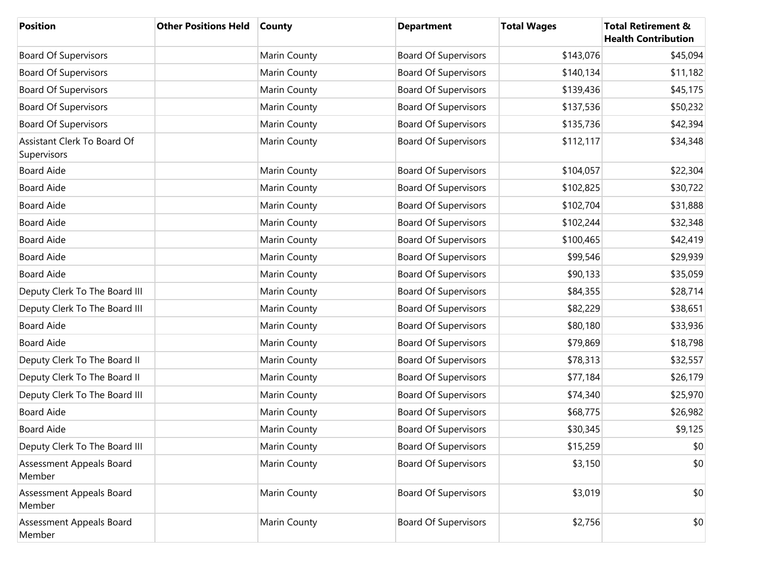| <b>Position</b>                            | <b>Other Positions Held</b> | County       | <b>Department</b>           | <b>Total Wages</b> | <b>Total Retirement &amp;</b><br><b>Health Contribution</b> |
|--------------------------------------------|-----------------------------|--------------|-----------------------------|--------------------|-------------------------------------------------------------|
| <b>Board Of Supervisors</b>                |                             | Marin County | <b>Board Of Supervisors</b> | \$143,076          | \$45,094                                                    |
| <b>Board Of Supervisors</b>                |                             | Marin County | <b>Board Of Supervisors</b> | \$140,134          | \$11,182                                                    |
| <b>Board Of Supervisors</b>                |                             | Marin County | <b>Board Of Supervisors</b> | \$139,436          | \$45,175                                                    |
| <b>Board Of Supervisors</b>                |                             | Marin County | <b>Board Of Supervisors</b> | \$137,536          | \$50,232                                                    |
| <b>Board Of Supervisors</b>                |                             | Marin County | <b>Board Of Supervisors</b> | \$135,736          | \$42,394                                                    |
| Assistant Clerk To Board Of<br>Supervisors |                             | Marin County | <b>Board Of Supervisors</b> | \$112,117          | \$34,348                                                    |
| <b>Board Aide</b>                          |                             | Marin County | <b>Board Of Supervisors</b> | \$104,057          | \$22,304                                                    |
| <b>Board Aide</b>                          |                             | Marin County | <b>Board Of Supervisors</b> | \$102,825          | \$30,722                                                    |
| <b>Board Aide</b>                          |                             | Marin County | <b>Board Of Supervisors</b> | \$102,704          | \$31,888                                                    |
| <b>Board Aide</b>                          |                             | Marin County | <b>Board Of Supervisors</b> | \$102,244          | \$32,348                                                    |
| <b>Board Aide</b>                          |                             | Marin County | <b>Board Of Supervisors</b> | \$100,465          | \$42,419                                                    |
| <b>Board Aide</b>                          |                             | Marin County | <b>Board Of Supervisors</b> | \$99,546           | \$29,939                                                    |
| <b>Board Aide</b>                          |                             | Marin County | <b>Board Of Supervisors</b> | \$90,133           | \$35,059                                                    |
| Deputy Clerk To The Board III              |                             | Marin County | <b>Board Of Supervisors</b> | \$84,355           | \$28,714                                                    |
| Deputy Clerk To The Board III              |                             | Marin County | <b>Board Of Supervisors</b> | \$82,229           | \$38,651                                                    |
| <b>Board Aide</b>                          |                             | Marin County | <b>Board Of Supervisors</b> | \$80,180           | \$33,936                                                    |
| <b>Board Aide</b>                          |                             | Marin County | <b>Board Of Supervisors</b> | \$79,869           | \$18,798                                                    |
| Deputy Clerk To The Board II               |                             | Marin County | <b>Board Of Supervisors</b> | \$78,313           | \$32,557                                                    |
| Deputy Clerk To The Board II               |                             | Marin County | <b>Board Of Supervisors</b> | \$77,184           | \$26,179                                                    |
| Deputy Clerk To The Board III              |                             | Marin County | <b>Board Of Supervisors</b> | \$74,340           | \$25,970                                                    |
| <b>Board Aide</b>                          |                             | Marin County | <b>Board Of Supervisors</b> | \$68,775           | \$26,982                                                    |
| <b>Board Aide</b>                          |                             | Marin County | <b>Board Of Supervisors</b> | \$30,345           | \$9,125                                                     |
| Deputy Clerk To The Board III              |                             | Marin County | <b>Board Of Supervisors</b> | \$15,259           | \$0                                                         |
| Assessment Appeals Board<br>Member         |                             | Marin County | <b>Board Of Supervisors</b> | \$3,150            | \$0                                                         |
| Assessment Appeals Board<br>Member         |                             | Marin County | <b>Board Of Supervisors</b> | \$3,019            | \$0                                                         |
| Assessment Appeals Board<br>Member         |                             | Marin County | <b>Board Of Supervisors</b> | \$2,756            | \$0                                                         |